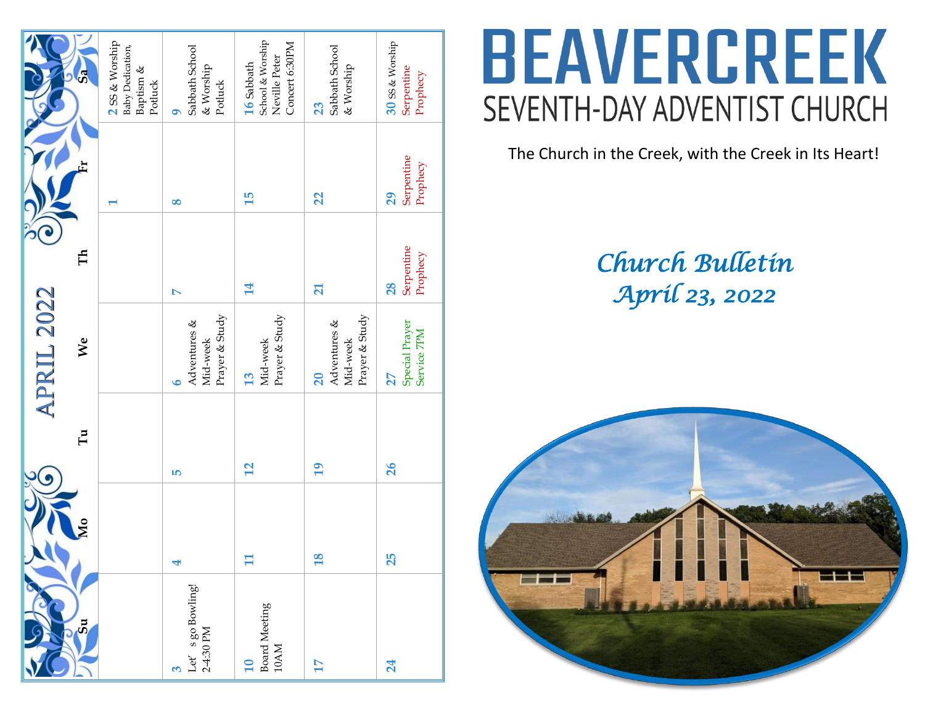| 15<br>$\infty$<br>$\overline{\phantom{0}}$<br>Ě<br>14<br>$\triangleright$<br>Prayer & Study<br>Adventures &<br>We<br>Mid-week<br>13<br>৩ | Mid-week<br>$\mathbf{u}$<br>$\mathbf{r}$<br>S |
|------------------------------------------------------------------------------------------------------------------------------------------|-----------------------------------------------|
|                                                                                                                                          |                                               |
|                                                                                                                                          |                                               |
|                                                                                                                                          |                                               |
| Prayer & Study                                                                                                                           |                                               |
| $\overline{21}$<br>Prayer & Study<br>Adventures &<br>Mid-week<br>20                                                                      | $\overline{19}$                               |
| Serpentine<br>28<br>27                                                                                                                   | 26                                            |
| Special Prayer                                                                                                                           |                                               |
|                                                                                                                                          |                                               |
| 25<br>18                                                                                                                                 |                                               |

# **BEAVERCREEK** SEVENTH-DAY ADVENTIST CHURCH

The Church in the Creek, with the Creek in Its Heart!

## *Church Bulletin April 23, 2022*